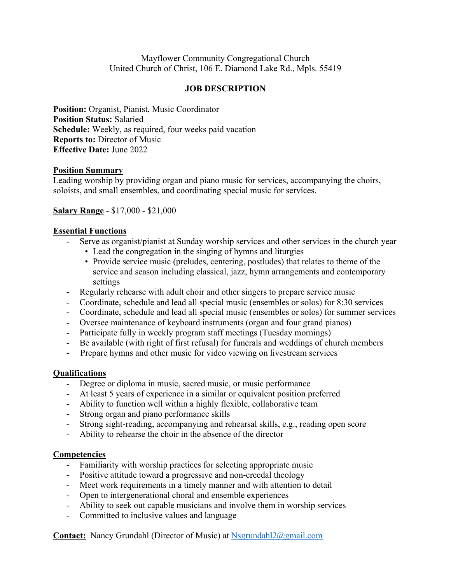# Mayflower Community Congregational Church United Church of Christ, 106 E. Diamond Lake Rd., Mpls. 55419

# **JOB DESCRIPTION**

**Position:** Organist, Pianist, Music Coordinator **Position Status:** Salaried **Schedule:** Weekly, as required, four weeks paid vacation **Reports to:** Director of Music **Effective Date:** June 2022

### **Position Summary**

Leading worship by providing organ and piano music for services, accompanying the choirs, soloists, and small ensembles, and coordinating special music for services.

### **Salary Range** - \$17,000 - \$21,000

#### **Essential Functions**

- Serve as organist/pianist at Sunday worship services and other services in the church year
	- Lead the congregation in the singing of hymns and liturgies
		- Provide service music (preludes, centering, postludes) that relates to theme of the service and season including classical, jazz, hymn arrangements and contemporary settings
- Regularly rehearse with adult choir and other singers to prepare service music
- Coordinate, schedule and lead all special music (ensembles or solos) for 8:30 services
- Coordinate, schedule and lead all special music (ensembles or solos) for summer services
- Oversee maintenance of keyboard instruments (organ and four grand pianos)
- Participate fully in weekly program staff meetings (Tuesday mornings)
- Be available (with right of first refusal) for funerals and weddings of church members
- Prepare hymns and other music for video viewing on livestream services

### **Qualifications**

- Degree or diploma in music, sacred music, or music performance
- At least 5 years of experience in a similar or equivalent position preferred
- Ability to function well within a highly flexible, collaborative team
- Strong organ and piano performance skills
- Strong sight-reading, accompanying and rehearsal skills, e.g., reading open score
- Ability to rehearse the choir in the absence of the director

### **Competencies**

- Familiarity with worship practices for selecting appropriate music
- Positive attitude toward a progressive and non-creedal theology
- Meet work requirements in a timely manner and with attention to detail
- Open to intergenerational choral and ensemble experiences
- Ability to seek out capable musicians and involve them in worship services
- Committed to inclusive values and language

**Contact:** Nancy Grundahl (Director of Music) at Nsgrundahl2@gmail.com